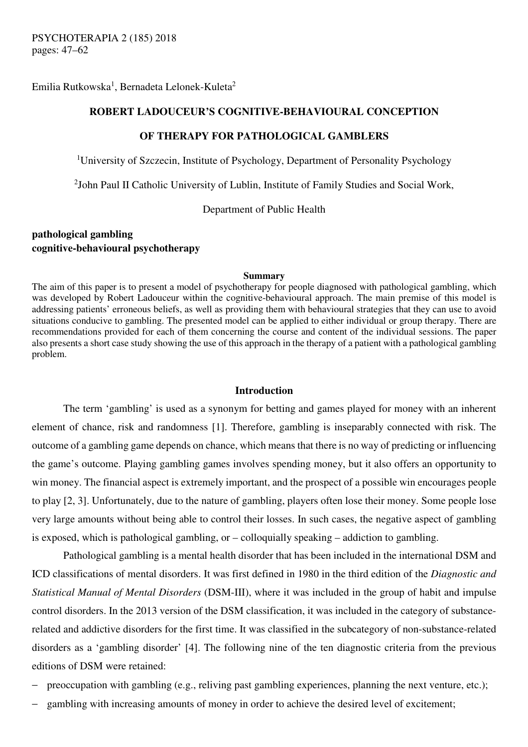Emilia Rutkowska $^1$ , Bernadeta Lelonek-Kuleta $^2$ 

# **ROBERT LADOUCEUR'S COGNITIVE-BEHAVIOURAL CONCEPTION**

## **OF THERAPY FOR PATHOLOGICAL GAMBLERS**

<sup>1</sup>University of Szczecin, Institute of Psychology, Department of Personality Psychology

<sup>2</sup>John Paul II Catholic University of Lublin, Institute of Family Studies and Social Work,

Department of Public Health

# **pathological gambling cognitive-behavioural psychotherapy**

#### **Summary**

The aim of this paper is to present a model of psychotherapy for people diagnosed with pathological gambling, which was developed by Robert Ladouceur within the cognitive-behavioural approach. The main premise of this model is addressing patients' erroneous beliefs, as well as providing them with behavioural strategies that they can use to avoid situations conducive to gambling. The presented model can be applied to either individual or group therapy. There are recommendations provided for each of them concerning the course and content of the individual sessions. The paper also presents a short case study showing the use of this approach in the therapy of a patient with a pathological gambling problem.

#### **Introduction**

The term 'gambling' is used as a synonym for betting and games played for money with an inherent element of chance, risk and randomness [1]. Therefore, gambling is inseparably connected with risk. The outcome of a gambling game depends on chance, which means that there is no way of predicting or influencing the game's outcome. Playing gambling games involves spending money, but it also offers an opportunity to win money. The financial aspect is extremely important, and the prospect of a possible win encourages people to play [2, 3]. Unfortunately, due to the nature of gambling, players often lose their money. Some people lose very large amounts without being able to control their losses. In such cases, the negative aspect of gambling is exposed, which is pathological gambling, or – colloquially speaking – addiction to gambling.

Pathological gambling is a mental health disorder that has been included in the international DSM and ICD classifications of mental disorders. It was first defined in 1980 in the third edition of the *Diagnostic and Statistical Manual of Mental Disorders* (DSM-III), where it was included in the group of habit and impulse control disorders. In the 2013 version of the DSM classification, it was included in the category of substancerelated and addictive disorders for the first time. It was classified in the subcategory of non-substance-related disorders as a 'gambling disorder' [4]. The following nine of the ten diagnostic criteria from the previous editions of DSM were retained:

- preoccupation with gambling (e.g., reliving past gambling experiences, planning the next venture, etc.);
- gambling with increasing amounts of money in order to achieve the desired level of excitement;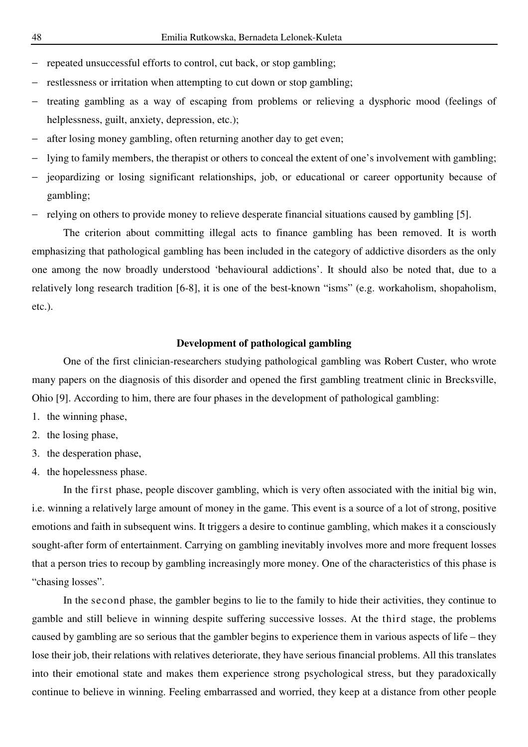- − repeated unsuccessful efforts to control, cut back, or stop gambling;
- − restlessness or irritation when attempting to cut down or stop gambling;
- treating gambling as a way of escaping from problems or relieving a dysphoric mood (feelings of helplessness, guilt, anxiety, depression, etc.);
- after losing money gambling, often returning another day to get even;
- lying to family members, the therapist or others to conceal the extent of one's involvement with gambling;
- − jeopardizing or losing significant relationships, job, or educational or career opportunity because of gambling;
- − relying on others to provide money to relieve desperate financial situations caused by gambling [5].

The criterion about committing illegal acts to finance gambling has been removed. It is worth emphasizing that pathological gambling has been included in the category of addictive disorders as the only one among the now broadly understood 'behavioural addictions'. It should also be noted that, due to a relatively long research tradition [6-8], it is one of the best-known "isms" (e.g. workaholism, shopaholism, etc.).

#### **Development of pathological gambling**

One of the first clinician-researchers studying pathological gambling was Robert Custer, who wrote many papers on the diagnosis of this disorder and opened the first gambling treatment clinic in Brecksville, Ohio [9]. According to him, there are four phases in the development of pathological gambling:

- 1. the winning phase,
- 2. the losing phase,
- 3. the desperation phase,
- 4. the hopelessness phase.

In the first phase, people discover gambling, which is very often associated with the initial big win, i.e. winning a relatively large amount of money in the game. This event is a source of a lot of strong, positive emotions and faith in subsequent wins. It triggers a desire to continue gambling, which makes it a consciously sought-after form of entertainment. Carrying on gambling inevitably involves more and more frequent losses that a person tries to recoup by gambling increasingly more money. One of the characteristics of this phase is "chasing losses".

In the second phase, the gambler begins to lie to the family to hide their activities, they continue to gamble and still believe in winning despite suffering successive losses. At the third stage, the problems caused by gambling are so serious that the gambler begins to experience them in various aspects of life – they lose their job, their relations with relatives deteriorate, they have serious financial problems. All this translates into their emotional state and makes them experience strong psychological stress, but they paradoxically continue to believe in winning. Feeling embarrassed and worried, they keep at a distance from other people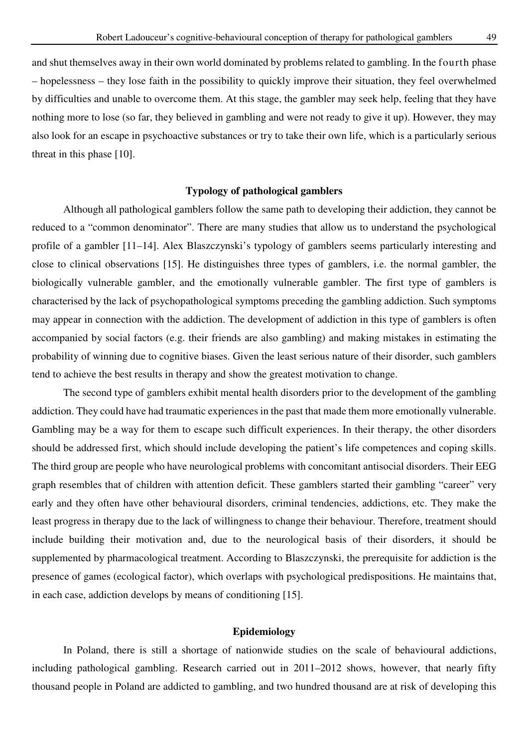and shut themselves away in their own world dominated by problems related to gambling. In the fourth phase – hopelessness – they lose faith in the possibility to quickly improve their situation, they feel overwhelmed by difficulties and unable to overcome them. At this stage, the gambler may seek help, feeling that they have nothing more to lose (so far, they believed in gambling and were not ready to give it up). However, they may also look for an escape in psychoactive substances or try to take their own life, which is a particularly serious threat in this phase [10].

# **Typology of pathological gamblers**

Although all pathological gamblers follow the same path to developing their addiction, they cannot be reduced to a "common denominator". There are many studies that allow us to understand the psychological profile of a gambler [11–14]. Alex Blaszczynski's typology of gamblers seems particularly interesting and close to clinical observations [15]. He distinguishes three types of gamblers, i.e. the normal gambler, the biologically vulnerable gambler, and the emotionally vulnerable gambler. The first type of gamblers is characterised by the lack of psychopathological symptoms preceding the gambling addiction. Such symptoms may appear in connection with the addiction. The development of addiction in this type of gamblers is often accompanied by social factors (e.g. their friends are also gambling) and making mistakes in estimating the probability of winning due to cognitive biases. Given the least serious nature of their disorder, such gamblers tend to achieve the best results in therapy and show the greatest motivation to change.

The second type of gamblers exhibit mental health disorders prior to the development of the gambling addiction. They could have had traumatic experiences in the past that made them more emotionally vulnerable. Gambling may be a way for them to escape such difficult experiences. In their therapy, the other disorders should be addressed first, which should include developing the patient's life competences and coping skills. The third group are people who have neurological problems with concomitant antisocial disorders. Their EEG graph resembles that of children with attention deficit. These gamblers started their gambling "career" very early and they often have other behavioural disorders, criminal tendencies, addictions, etc. They make the least progress in therapy due to the lack of willingness to change their behaviour. Therefore, treatment should include building their motivation and, due to the neurological basis of their disorders, it should be supplemented by pharmacological treatment. According to Blaszczynski, the prerequisite for addiction is the presence of games (ecological factor), which overlaps with psychological predispositions. He maintains that, in each case, addiction develops by means of conditioning [15].

#### **Epidemiology**

In Poland, there is still a shortage of nationwide studies on the scale of behavioural addictions, including pathological gambling. Research carried out in 2011–2012 shows, however, that nearly fifty thousand people in Poland are addicted to gambling, and two hundred thousand are at risk of developing this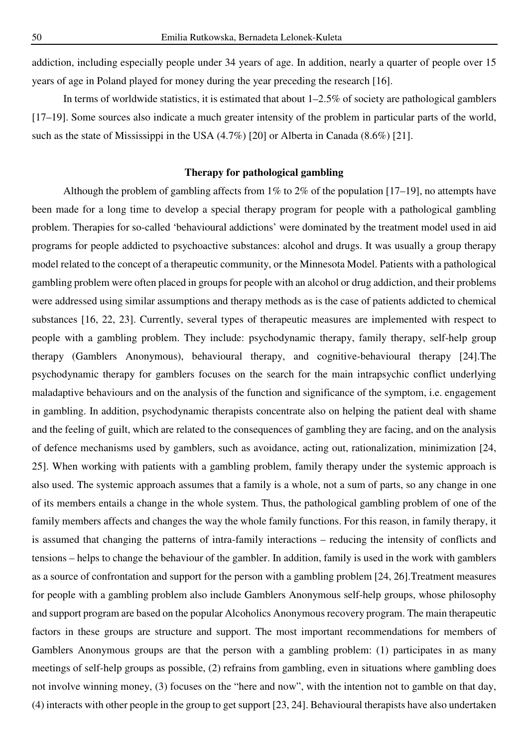addiction, including especially people under 34 years of age. In addition, nearly a quarter of people over 15 years of age in Poland played for money during the year preceding the research [16].

In terms of worldwide statistics, it is estimated that about 1–2.5% of society are pathological gamblers [17–19]. Some sources also indicate a much greater intensity of the problem in particular parts of the world, such as the state of Mississippi in the USA (4.7%) [20] or Alberta in Canada (8.6%) [21].

# **Therapy for pathological gambling**

Although the problem of gambling affects from 1% to 2% of the population [17–19], no attempts have been made for a long time to develop a special therapy program for people with a pathological gambling problem. Therapies for so-called 'behavioural addictions' were dominated by the treatment model used in aid programs for people addicted to psychoactive substances: alcohol and drugs. It was usually a group therapy model related to the concept of a therapeutic community, or the Minnesota Model. Patients with a pathological gambling problem were often placed in groups for people with an alcohol or drug addiction, and their problems were addressed using similar assumptions and therapy methods as is the case of patients addicted to chemical substances [16, 22, 23]. Currently, several types of therapeutic measures are implemented with respect to people with a gambling problem. They include: psychodynamic therapy, family therapy, self-help group therapy (Gamblers Anonymous), behavioural therapy, and cognitive-behavioural therapy [24].The psychodynamic therapy for gamblers focuses on the search for the main intrapsychic conflict underlying maladaptive behaviours and on the analysis of the function and significance of the symptom, i.e. engagement in gambling. In addition, psychodynamic therapists concentrate also on helping the patient deal with shame and the feeling of guilt, which are related to the consequences of gambling they are facing, and on the analysis of defence mechanisms used by gamblers, such as avoidance, acting out, rationalization, minimization [24, 25]. When working with patients with a gambling problem, family therapy under the systemic approach is also used. The systemic approach assumes that a family is a whole, not a sum of parts, so any change in one of its members entails a change in the whole system. Thus, the pathological gambling problem of one of the family members affects and changes the way the whole family functions. For this reason, in family therapy, it is assumed that changing the patterns of intra-family interactions – reducing the intensity of conflicts and tensions – helps to change the behaviour of the gambler. In addition, family is used in the work with gamblers as a source of confrontation and support for the person with a gambling problem [24, 26].Treatment measures for people with a gambling problem also include Gamblers Anonymous self-help groups, whose philosophy and support program are based on the popular Alcoholics Anonymous recovery program. The main therapeutic factors in these groups are structure and support. The most important recommendations for members of Gamblers Anonymous groups are that the person with a gambling problem: (1) participates in as many meetings of self-help groups as possible, (2) refrains from gambling, even in situations where gambling does not involve winning money, (3) focuses on the "here and now", with the intention not to gamble on that day, (4) interacts with other people in the group to get support [23, 24]. Behavioural therapists have also undertaken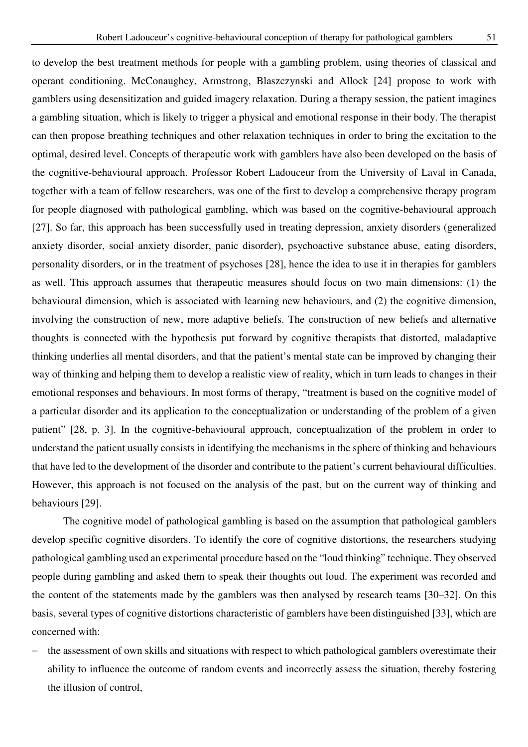operant conditioning. McConaughey, Armstrong, Blaszczynski and Allock [24] propose to work with gamblers using desensitization and guided imagery relaxation. During a therapy session, the patient imagines a gambling situation, which is likely to trigger a physical and emotional response in their body. The therapist can then propose breathing techniques and other relaxation techniques in order to bring the excitation to the optimal, desired level. Concepts of therapeutic work with gamblers have also been developed on the basis of the cognitive-behavioural approach. Professor Robert Ladouceur from the University of Laval in Canada, together with a team of fellow researchers, was one of the first to develop a comprehensive therapy program for people diagnosed with pathological gambling, which was based on the cognitive-behavioural approach [27]. So far, this approach has been successfully used in treating depression, anxiety disorders (generalized anxiety disorder, social anxiety disorder, panic disorder), psychoactive substance abuse, eating disorders, personality disorders, or in the treatment of psychoses [28], hence the idea to use it in therapies for gamblers as well. This approach assumes that therapeutic measures should focus on two main dimensions: (1) the behavioural dimension, which is associated with learning new behaviours, and (2) the cognitive dimension, involving the construction of new, more adaptive beliefs. The construction of new beliefs and alternative thoughts is connected with the hypothesis put forward by cognitive therapists that distorted, maladaptive thinking underlies all mental disorders, and that the patient's mental state can be improved by changing their way of thinking and helping them to develop a realistic view of reality, which in turn leads to changes in their emotional responses and behaviours. In most forms of therapy, "treatment is based on the cognitive model of a particular disorder and its application to the conceptualization or understanding of the problem of a given patient" [28, p. 3]. In the cognitive-behavioural approach, conceptualization of the problem in order to understand the patient usually consists in identifying the mechanisms in the sphere of thinking and behaviours that have led to the development of the disorder and contribute to the patient's current behavioural difficulties. However, this approach is not focused on the analysis of the past, but on the current way of thinking and behaviours [29].

The cognitive model of pathological gambling is based on the assumption that pathological gamblers develop specific cognitive disorders. To identify the core of cognitive distortions, the researchers studying pathological gambling used an experimental procedure based on the "loud thinking" technique. They observed people during gambling and asked them to speak their thoughts out loud. The experiment was recorded and the content of the statements made by the gamblers was then analysed by research teams [30–32]. On this basis, several types of cognitive distortions characteristic of gamblers have been distinguished [33], which are concerned with:

− the assessment of own skills and situations with respect to which pathological gamblers overestimate their ability to influence the outcome of random events and incorrectly assess the situation, thereby fostering the illusion of control,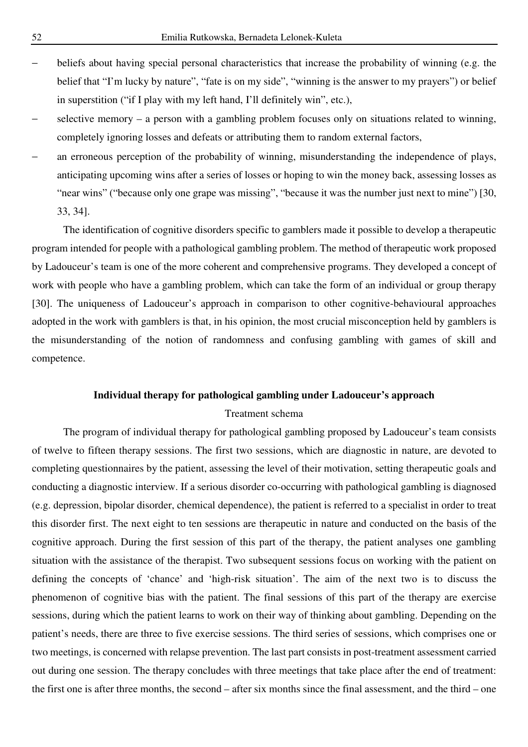- beliefs about having special personal characteristics that increase the probability of winning (e.g. the belief that "I'm lucky by nature", "fate is on my side", "winning is the answer to my prayers") or belief in superstition ("if I play with my left hand, I'll definitely win", etc.),
- selective memory a person with a gambling problem focuses only on situations related to winning, completely ignoring losses and defeats or attributing them to random external factors,
- an erroneous perception of the probability of winning, misunderstanding the independence of plays, anticipating upcoming wins after a series of losses or hoping to win the money back, assessing losses as "near wins" ("because only one grape was missing", "because it was the number just next to mine") [30, 33, 34].

The identification of cognitive disorders specific to gamblers made it possible to develop a therapeutic program intended for people with a pathological gambling problem. The method of therapeutic work proposed by Ladouceur's team is one of the more coherent and comprehensive programs. They developed a concept of work with people who have a gambling problem, which can take the form of an individual or group therapy [30]. The uniqueness of Ladouceur's approach in comparison to other cognitive-behavioural approaches adopted in the work with gamblers is that, in his opinion, the most crucial misconception held by gamblers is the misunderstanding of the notion of randomness and confusing gambling with games of skill and competence.

# **Individual therapy for pathological gambling under Ladouceur's approach**

# Treatment schema

The program of individual therapy for pathological gambling proposed by Ladouceur's team consists of twelve to fifteen therapy sessions. The first two sessions, which are diagnostic in nature, are devoted to completing questionnaires by the patient, assessing the level of their motivation, setting therapeutic goals and conducting a diagnostic interview. If a serious disorder co-occurring with pathological gambling is diagnosed (e.g. depression, bipolar disorder, chemical dependence), the patient is referred to a specialist in order to treat this disorder first. The next eight to ten sessions are therapeutic in nature and conducted on the basis of the cognitive approach. During the first session of this part of the therapy, the patient analyses one gambling situation with the assistance of the therapist. Two subsequent sessions focus on working with the patient on defining the concepts of 'chance' and 'high-risk situation'. The aim of the next two is to discuss the phenomenon of cognitive bias with the patient. The final sessions of this part of the therapy are exercise sessions, during which the patient learns to work on their way of thinking about gambling. Depending on the patient's needs, there are three to five exercise sessions. The third series of sessions, which comprises one or two meetings, is concerned with relapse prevention. The last part consists in post-treatment assessment carried out during one session. The therapy concludes with three meetings that take place after the end of treatment: the first one is after three months, the second – after six months since the final assessment, and the third – one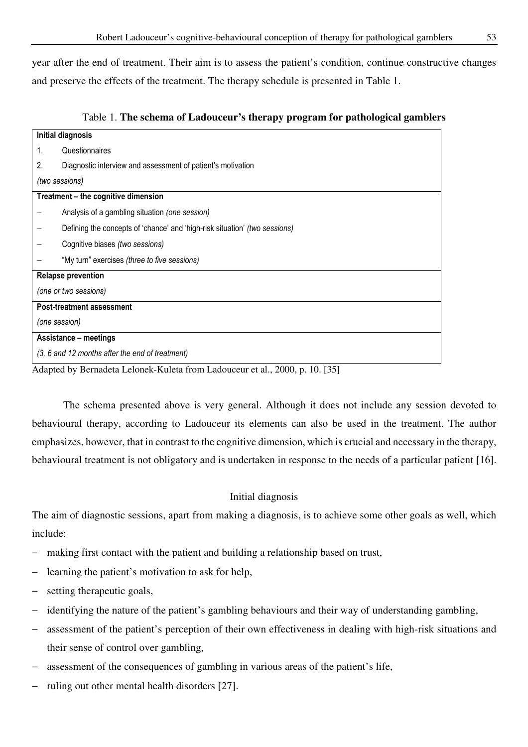year after the end of treatment. Their aim is to assess the patient's condition, continue constructive changes and preserve the effects of the treatment. The therapy schedule is presented in Table 1.

| Table 1. The schema of Ladouceur's therapy program for pathological gamblers |  |
|------------------------------------------------------------------------------|--|
|------------------------------------------------------------------------------|--|

Adapted by Bernadeta Lelonek-Kuleta from Ladouceur et al., 2000, p. 10. [35]

The schema presented above is very general. Although it does not include any session devoted to behavioural therapy, according to Ladouceur its elements can also be used in the treatment. The author emphasizes, however, that in contrast to the cognitive dimension, which is crucial and necessary in the therapy, behavioural treatment is not obligatory and is undertaken in response to the needs of a particular patient [16].

# Initial diagnosis

The aim of diagnostic sessions, apart from making a diagnosis, is to achieve some other goals as well, which include:

- making first contact with the patient and building a relationship based on trust,
- learning the patient's motivation to ask for help,
- setting therapeutic goals,
- identifying the nature of the patient's gambling behaviours and their way of understanding gambling,
- assessment of the patient's perception of their own effectiveness in dealing with high-risk situations and their sense of control over gambling,
- assessment of the consequences of gambling in various areas of the patient's life,
- ruling out other mental health disorders [27].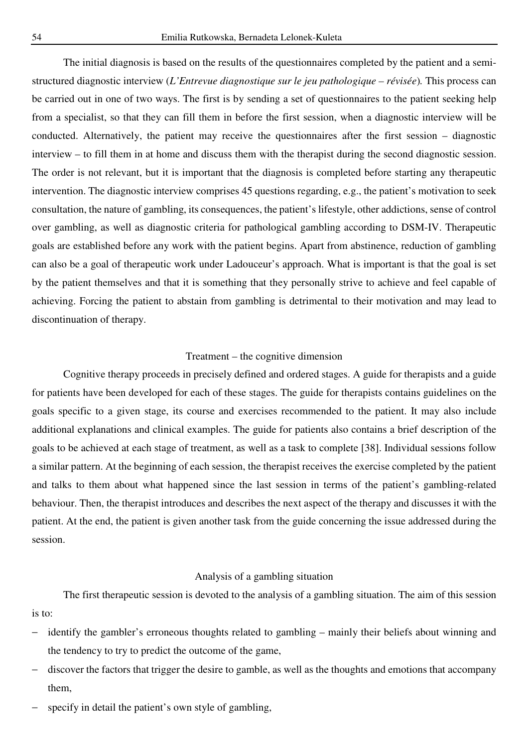The initial diagnosis is based on the results of the questionnaires completed by the patient and a semistructured diagnostic interview (*L'Entrevue diagnostique sur le jeu pathologique – révisée*)*.* This process can be carried out in one of two ways. The first is by sending a set of questionnaires to the patient seeking help from a specialist, so that they can fill them in before the first session, when a diagnostic interview will be conducted. Alternatively, the patient may receive the questionnaires after the first session – diagnostic interview – to fill them in at home and discuss them with the therapist during the second diagnostic session. The order is not relevant, but it is important that the diagnosis is completed before starting any therapeutic intervention. The diagnostic interview comprises 45 questions regarding, e.g., the patient's motivation to seek consultation, the nature of gambling, its consequences, the patient's lifestyle, other addictions, sense of control over gambling, as well as diagnostic criteria for pathological gambling according to DSM-IV. Therapeutic goals are established before any work with the patient begins. Apart from abstinence, reduction of gambling can also be a goal of therapeutic work under Ladouceur's approach. What is important is that the goal is set by the patient themselves and that it is something that they personally strive to achieve and feel capable of achieving. Forcing the patient to abstain from gambling is detrimental to their motivation and may lead to discontinuation of therapy.

## Treatment – the cognitive dimension

Cognitive therapy proceeds in precisely defined and ordered stages. A guide for therapists and a guide for patients have been developed for each of these stages. The guide for therapists contains guidelines on the goals specific to a given stage, its course and exercises recommended to the patient. It may also include additional explanations and clinical examples. The guide for patients also contains a brief description of the goals to be achieved at each stage of treatment, as well as a task to complete [38]. Individual sessions follow a similar pattern. At the beginning of each session, the therapist receives the exercise completed by the patient and talks to them about what happened since the last session in terms of the patient's gambling-related behaviour. Then, the therapist introduces and describes the next aspect of the therapy and discusses it with the patient. At the end, the patient is given another task from the guide concerning the issue addressed during the session.

# Analysis of a gambling situation

The first therapeutic session is devoted to the analysis of a gambling situation. The aim of this session is to:

- − identify the gambler's erroneous thoughts related to gambling mainly their beliefs about winning and the tendency to try to predict the outcome of the game,
- discover the factors that trigger the desire to gamble, as well as the thoughts and emotions that accompany them,
- specify in detail the patient's own style of gambling,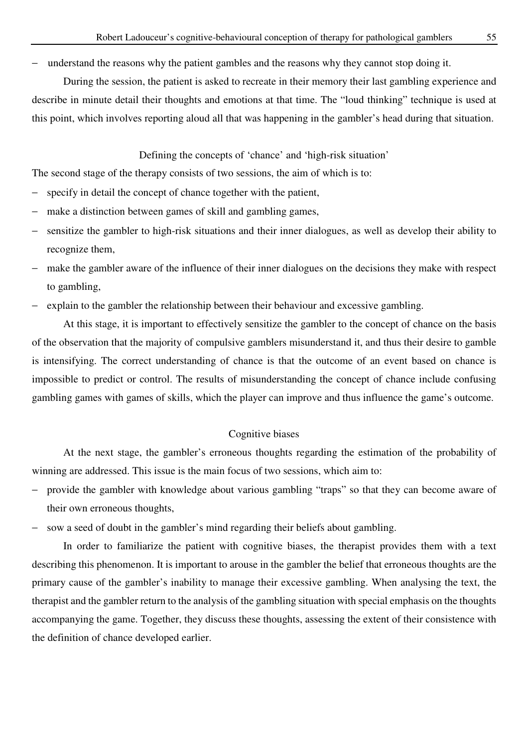understand the reasons why the patient gambles and the reasons why they cannot stop doing it.

During the session, the patient is asked to recreate in their memory their last gambling experience and describe in minute detail their thoughts and emotions at that time. The "loud thinking" technique is used at this point, which involves reporting aloud all that was happening in the gambler's head during that situation.

Defining the concepts of 'chance' and 'high-risk situation'

The second stage of the therapy consists of two sessions, the aim of which is to:

- − specify in detail the concept of chance together with the patient,
- make a distinction between games of skill and gambling games,
- sensitize the gambler to high-risk situations and their inner dialogues, as well as develop their ability to recognize them,
- make the gambler aware of the influence of their inner dialogues on the decisions they make with respect to gambling,
- explain to the gambler the relationship between their behaviour and excessive gambling.

At this stage, it is important to effectively sensitize the gambler to the concept of chance on the basis of the observation that the majority of compulsive gamblers misunderstand it, and thus their desire to gamble is intensifying. The correct understanding of chance is that the outcome of an event based on chance is impossible to predict or control. The results of misunderstanding the concept of chance include confusing gambling games with games of skills, which the player can improve and thus influence the game's outcome.

# Cognitive biases

At the next stage, the gambler's erroneous thoughts regarding the estimation of the probability of winning are addressed. This issue is the main focus of two sessions, which aim to:

- − provide the gambler with knowledge about various gambling "traps" so that they can become aware of their own erroneous thoughts,
- sow a seed of doubt in the gambler's mind regarding their beliefs about gambling.

In order to familiarize the patient with cognitive biases, the therapist provides them with a text describing this phenomenon. It is important to arouse in the gambler the belief that erroneous thoughts are the primary cause of the gambler's inability to manage their excessive gambling. When analysing the text, the therapist and the gambler return to the analysis of the gambling situation with special emphasis on the thoughts accompanying the game. Together, they discuss these thoughts, assessing the extent of their consistence with the definition of chance developed earlier.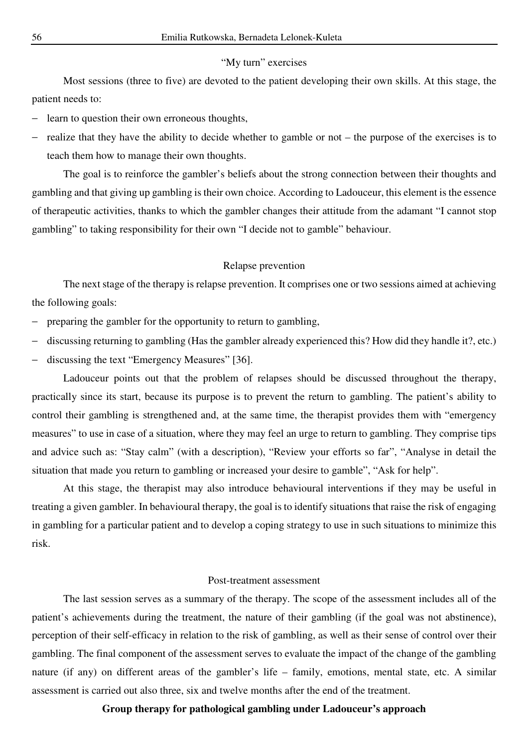#### "My turn" exercises

Most sessions (three to five) are devoted to the patient developing their own skills. At this stage, the patient needs to:

- − learn to question their own erroneous thoughts,
- realize that they have the ability to decide whether to gamble or not the purpose of the exercises is to teach them how to manage their own thoughts.

The goal is to reinforce the gambler's beliefs about the strong connection between their thoughts and gambling and that giving up gambling is their own choice. According to Ladouceur, this element is the essence of therapeutic activities, thanks to which the gambler changes their attitude from the adamant "I cannot stop gambling" to taking responsibility for their own "I decide not to gamble" behaviour.

#### Relapse prevention

The next stage of the therapy is relapse prevention. It comprises one or two sessions aimed at achieving the following goals:

- preparing the gambler for the opportunity to return to gambling,
- − discussing returning to gambling (Has the gambler already experienced this? How did they handle it?, etc.)
- − discussing the text "Emergency Measures" [36].

Ladouceur points out that the problem of relapses should be discussed throughout the therapy, practically since its start, because its purpose is to prevent the return to gambling. The patient's ability to control their gambling is strengthened and, at the same time, the therapist provides them with "emergency measures" to use in case of a situation, where they may feel an urge to return to gambling. They comprise tips and advice such as: "Stay calm" (with a description), "Review your efforts so far", "Analyse in detail the situation that made you return to gambling or increased your desire to gamble", "Ask for help".

At this stage, the therapist may also introduce behavioural interventions if they may be useful in treating a given gambler. In behavioural therapy, the goal is to identify situations that raise the risk of engaging in gambling for a particular patient and to develop a coping strategy to use in such situations to minimize this risk.

## Post-treatment assessment

The last session serves as a summary of the therapy. The scope of the assessment includes all of the patient's achievements during the treatment, the nature of their gambling (if the goal was not abstinence), perception of their self-efficacy in relation to the risk of gambling, as well as their sense of control over their gambling. The final component of the assessment serves to evaluate the impact of the change of the gambling nature (if any) on different areas of the gambler's life – family, emotions, mental state, etc. A similar assessment is carried out also three, six and twelve months after the end of the treatment.

## **Group therapy for pathological gambling under Ladouceur's approach**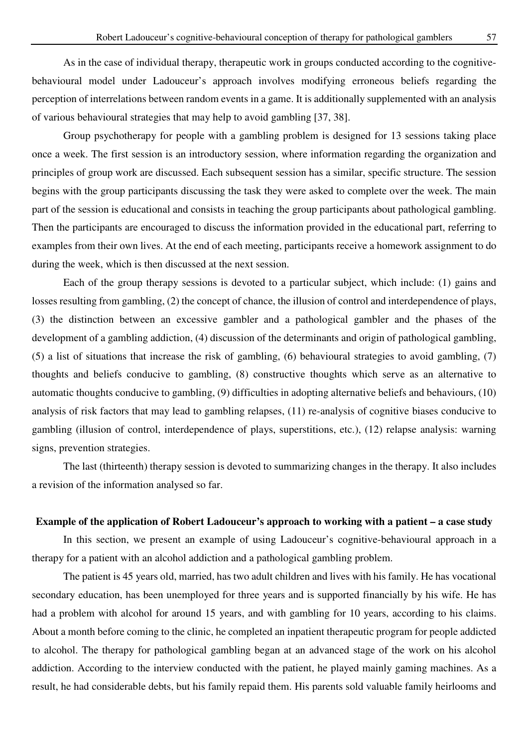As in the case of individual therapy, therapeutic work in groups conducted according to the cognitivebehavioural model under Ladouceur's approach involves modifying erroneous beliefs regarding the perception of interrelations between random events in a game. It is additionally supplemented with an analysis of various behavioural strategies that may help to avoid gambling [37, 38].

Group psychotherapy for people with a gambling problem is designed for 13 sessions taking place once a week. The first session is an introductory session, where information regarding the organization and principles of group work are discussed. Each subsequent session has a similar, specific structure. The session begins with the group participants discussing the task they were asked to complete over the week. The main part of the session is educational and consists in teaching the group participants about pathological gambling. Then the participants are encouraged to discuss the information provided in the educational part, referring to examples from their own lives. At the end of each meeting, participants receive a homework assignment to do during the week, which is then discussed at the next session.

Each of the group therapy sessions is devoted to a particular subject, which include: (1) gains and losses resulting from gambling, (2) the concept of chance, the illusion of control and interdependence of plays, (3) the distinction between an excessive gambler and a pathological gambler and the phases of the development of a gambling addiction, (4) discussion of the determinants and origin of pathological gambling, (5) a list of situations that increase the risk of gambling, (6) behavioural strategies to avoid gambling, (7) thoughts and beliefs conducive to gambling, (8) constructive thoughts which serve as an alternative to automatic thoughts conducive to gambling, (9) difficulties in adopting alternative beliefs and behaviours, (10) analysis of risk factors that may lead to gambling relapses, (11) re-analysis of cognitive biases conducive to gambling (illusion of control, interdependence of plays, superstitions, etc.), (12) relapse analysis: warning signs, prevention strategies.

The last (thirteenth) therapy session is devoted to summarizing changes in the therapy. It also includes a revision of the information analysed so far.

## **Example of the application of Robert Ladouceur's approach to working with a patient – a case study**

In this section, we present an example of using Ladouceur's cognitive-behavioural approach in a therapy for a patient with an alcohol addiction and a pathological gambling problem.

The patient is 45 years old, married, has two adult children and lives with his family. He has vocational secondary education, has been unemployed for three years and is supported financially by his wife. He has had a problem with alcohol for around 15 years, and with gambling for 10 years, according to his claims. About a month before coming to the clinic, he completed an inpatient therapeutic program for people addicted to alcohol. The therapy for pathological gambling began at an advanced stage of the work on his alcohol addiction. According to the interview conducted with the patient, he played mainly gaming machines. As a result, he had considerable debts, but his family repaid them. His parents sold valuable family heirlooms and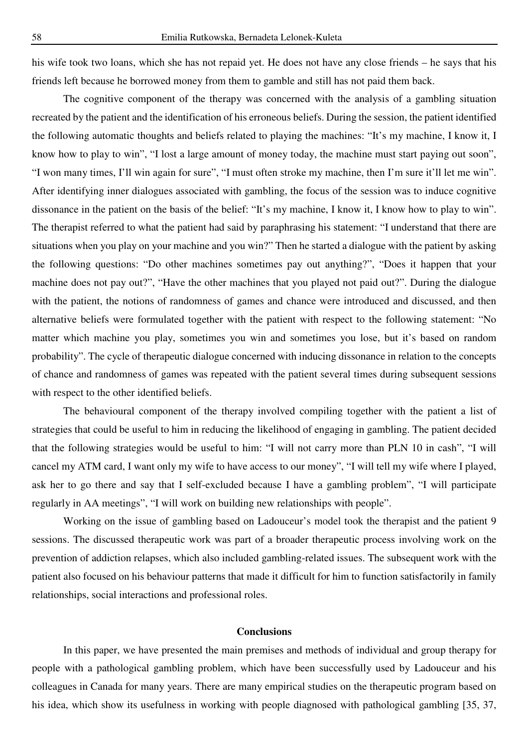his wife took two loans, which she has not repaid yet. He does not have any close friends – he says that his friends left because he borrowed money from them to gamble and still has not paid them back.

The cognitive component of the therapy was concerned with the analysis of a gambling situation recreated by the patient and the identification of his erroneous beliefs. During the session, the patient identified the following automatic thoughts and beliefs related to playing the machines: "It's my machine, I know it, I know how to play to win", "I lost a large amount of money today, the machine must start paying out soon", "I won many times, I'll win again for sure", "I must often stroke my machine, then I'm sure it'll let me win". After identifying inner dialogues associated with gambling, the focus of the session was to induce cognitive dissonance in the patient on the basis of the belief: "It's my machine, I know it, I know how to play to win". The therapist referred to what the patient had said by paraphrasing his statement: "I understand that there are situations when you play on your machine and you win?" Then he started a dialogue with the patient by asking the following questions: "Do other machines sometimes pay out anything?", "Does it happen that your machine does not pay out?", "Have the other machines that you played not paid out?". During the dialogue with the patient, the notions of randomness of games and chance were introduced and discussed, and then alternative beliefs were formulated together with the patient with respect to the following statement: "No matter which machine you play, sometimes you win and sometimes you lose, but it's based on random probability". The cycle of therapeutic dialogue concerned with inducing dissonance in relation to the concepts of chance and randomness of games was repeated with the patient several times during subsequent sessions with respect to the other identified beliefs.

The behavioural component of the therapy involved compiling together with the patient a list of strategies that could be useful to him in reducing the likelihood of engaging in gambling. The patient decided that the following strategies would be useful to him: "I will not carry more than PLN 10 in cash", "I will cancel my ATM card, I want only my wife to have access to our money", "I will tell my wife where I played, ask her to go there and say that I self-excluded because I have a gambling problem", "I will participate regularly in AA meetings", "I will work on building new relationships with people".

Working on the issue of gambling based on Ladouceur's model took the therapist and the patient 9 sessions. The discussed therapeutic work was part of a broader therapeutic process involving work on the prevention of addiction relapses, which also included gambling-related issues. The subsequent work with the patient also focused on his behaviour patterns that made it difficult for him to function satisfactorily in family relationships, social interactions and professional roles.

## **Conclusions**

In this paper, we have presented the main premises and methods of individual and group therapy for people with a pathological gambling problem, which have been successfully used by Ladouceur and his colleagues in Canada for many years. There are many empirical studies on the therapeutic program based on his idea, which show its usefulness in working with people diagnosed with pathological gambling [35, 37,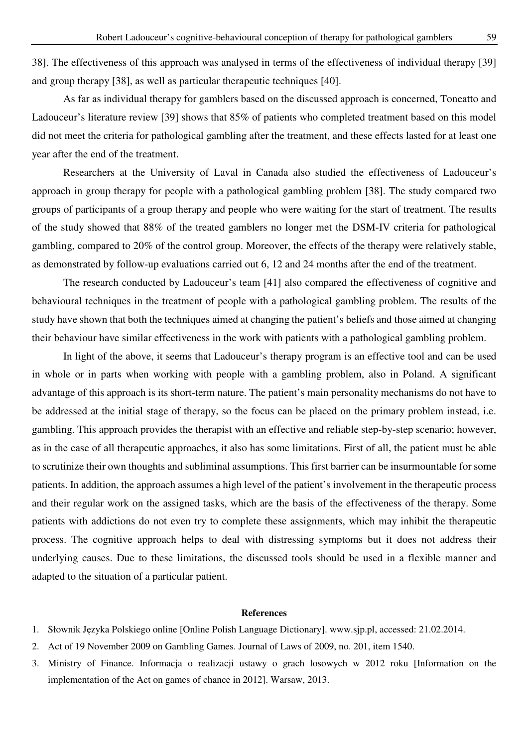38]. The effectiveness of this approach was analysed in terms of the effectiveness of individual therapy [39] and group therapy [38], as well as particular therapeutic techniques [40].

As far as individual therapy for gamblers based on the discussed approach is concerned, Toneatto and Ladouceur's literature review [39] shows that 85% of patients who completed treatment based on this model did not meet the criteria for pathological gambling after the treatment, and these effects lasted for at least one year after the end of the treatment.

Researchers at the University of Laval in Canada also studied the effectiveness of Ladouceur's approach in group therapy for people with a pathological gambling problem [38]. The study compared two groups of participants of a group therapy and people who were waiting for the start of treatment. The results of the study showed that 88% of the treated gamblers no longer met the DSM-IV criteria for pathological gambling, compared to 20% of the control group. Moreover, the effects of the therapy were relatively stable, as demonstrated by follow-up evaluations carried out 6, 12 and 24 months after the end of the treatment.

The research conducted by Ladouceur's team [41] also compared the effectiveness of cognitive and behavioural techniques in the treatment of people with a pathological gambling problem. The results of the study have shown that both the techniques aimed at changing the patient's beliefs and those aimed at changing their behaviour have similar effectiveness in the work with patients with a pathological gambling problem.

In light of the above, it seems that Ladouceur's therapy program is an effective tool and can be used in whole or in parts when working with people with a gambling problem, also in Poland. A significant advantage of this approach is its short-term nature. The patient's main personality mechanisms do not have to be addressed at the initial stage of therapy, so the focus can be placed on the primary problem instead, i.e. gambling. This approach provides the therapist with an effective and reliable step-by-step scenario; however, as in the case of all therapeutic approaches, it also has some limitations. First of all, the patient must be able to scrutinize their own thoughts and subliminal assumptions. This first barrier can be insurmountable for some patients. In addition, the approach assumes a high level of the patient's involvement in the therapeutic process and their regular work on the assigned tasks, which are the basis of the effectiveness of the therapy. Some patients with addictions do not even try to complete these assignments, which may inhibit the therapeutic process. The cognitive approach helps to deal with distressing symptoms but it does not address their underlying causes. Due to these limitations, the discussed tools should be used in a flexible manner and adapted to the situation of a particular patient.

#### **References**

- 1. Słownik Języka Polskiego online [Online Polish Language Dictionary]. www.sjp.pl, accessed: 21.02.2014.
- 2. Act of 19 November 2009 on Gambling Games. Journal of Laws of 2009, no. 201, item 1540.
- 3. Ministry of Finance. Informacja o realizacji ustawy o grach losowych w 2012 roku [Information on the implementation of the Act on games of chance in 2012]. Warsaw, 2013.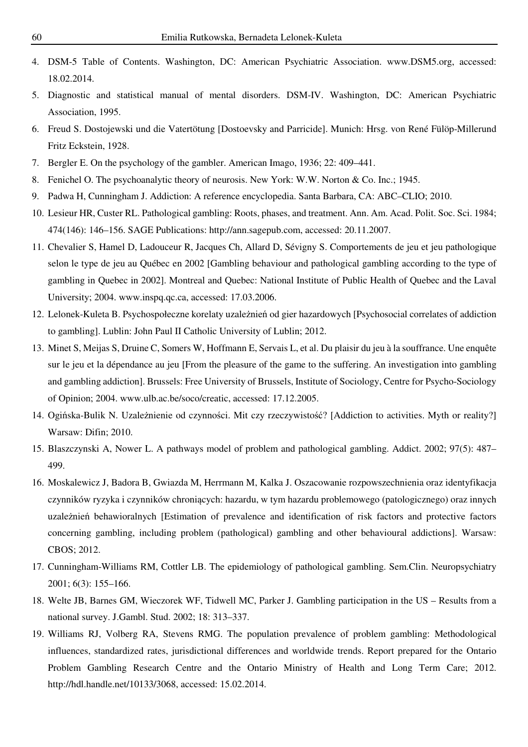- 4. DSM-5 Table of Contents. Washington, DC: American Psychiatric Association. www.DSM5.org, accessed: 18.02.2014.
- 5. Diagnostic and statistical manual of mental disorders. DSM-IV. Washington, DC: American Psychiatric Association, 1995.
- 6. Freud S. Dostojewski und die Vatertötung [Dostoevsky and Parricide]. Munich: Hrsg. von René Fülöp-Millerund Fritz Eckstein, 1928.
- 7. Bergler E. On the psychology of the gambler. American Imago, 1936; 22: 409–441.
- 8. Fenichel O. The psychoanalytic theory of neurosis. New York: W.W. Norton & Co. Inc.; 1945.
- 9. Padwa H, Cunningham J. Addiction: A reference encyclopedia. Santa Barbara, CA: ABC–CLIO; 2010.
- 10. Lesieur HR, Custer RL. Pathological gambling: Roots, phases, and treatment. Ann. Am. Acad. Polit. Soc. Sci. 1984; 474(146): 146–156. SAGE Publications: http://ann.sagepub.com, accessed: 20.11.2007.
- 11. Chevalier S, Hamel D, Ladouceur R, Jacques Ch, Allard D, Sévigny S. Comportements de jeu et jeu pathologique selon le type de jeu au Québec en 2002 [Gambling behaviour and pathological gambling according to the type of gambling in Quebec in 2002]. Montreal and Quebec: National Institute of Public Health of Quebec and the Laval University; 2004. www.inspq.qc.ca, accessed: 17.03.2006.
- 12. Lelonek-Kuleta B. Psychospołeczne korelaty uzależnień od gier hazardowych [Psychosocial correlates of addiction to gambling]. Lublin: John Paul II Catholic University of Lublin; 2012.
- 13. Minet S, Meijas S, Druine C, Somers W, Hoffmann E, Servais L, et al. Du plaisir du jeu à la souffrance. Une enquête sur le jeu et la dépendance au jeu [From the pleasure of the game to the suffering. An investigation into gambling and gambling addiction]. Brussels: Free University of Brussels, Institute of Sociology, Centre for Psycho-Sociology of Opinion; 2004. www.ulb.ac.be/soco/creatic, accessed: 17.12.2005.
- 14. Ogińska-Bulik N. Uzależnienie od czynności. Mit czy rzeczywistość? [Addiction to activities. Myth or reality?] Warsaw: Difin; 2010.
- 15. Blaszczynski A, Nower L. A pathways model of problem and pathological gambling. Addict. 2002; 97(5): 487– 499.
- 16. Moskalewicz J, Badora B, Gwiazda M, Herrmann M, Kalka J. Oszacowanie rozpowszechnienia oraz identyfikacja czynników ryzyka i czynników chroniących: hazardu, w tym hazardu problemowego (patologicznego) oraz innych uzależnień behawioralnych [Estimation of prevalence and identification of risk factors and protective factors concerning gambling, including problem (pathological) gambling and other behavioural addictions]. Warsaw: CBOS; 2012.
- 17. Cunningham-Williams RM, Cottler LB. The epidemiology of pathological gambling. Sem.Clin. Neuropsychiatry 2001; 6(3): 155–166.
- 18. Welte JB, Barnes GM, Wieczorek WF, Tidwell MC, Parker J. Gambling participation in the US Results from a national survey. J.Gambl. Stud. 2002; 18: 313–337.
- 19. Williams RJ, Volberg RA, Stevens RMG. The population prevalence of problem gambling: Methodological influences, standardized rates, jurisdictional differences and worldwide trends. Report prepared for the Ontario Problem Gambling Research Centre and the Ontario Ministry of Health and Long Term Care; 2012. http://hdl.handle.net/10133/3068, accessed: 15.02.2014.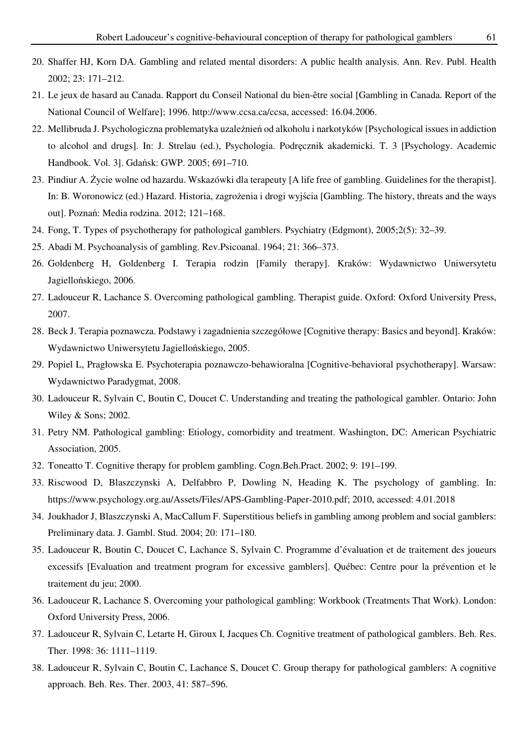- 20. Shaffer HJ, Korn DA. Gambling and related mental disorders: A public health analysis. Ann. Rev. Publ. Health 2002; 23: 171–212.
- 21. Le jeux de hasard au Canada. Rapport du Conseil National du bien-être social [Gambling in Canada. Report of the National Council of Welfare]; 1996. http://www.ccsa.ca/ccsa, accessed: 16.04.2006.
- 22. Mellibruda J. Psychologiczna problematyka uzależnień od alkoholu i narkotyków [Psychological issues in addiction to alcohol and drugs]. In: J. Strelau (ed.), Psychologia. Podręcznik akademicki. T. 3 [Psychology. Academic Handbook. Vol. 3]. Gdańsk: GWP. 2005; 691–710.
- 23. Pindiur A. Życie wolne od hazardu. Wskazówki dla terapeuty [A life free of gambling. Guidelines for the therapist]. In: B. Woronowicz (ed.) Hazard. Historia, zagrożenia i drogi wyjścia [Gambling. The history, threats and the ways out]. Poznań: Media rodzina. 2012; 121–168.
- 24. Fong, T. Types of psychotherapy for pathological gamblers. Psychiatry (Edgmont), 2005;2(5): 32–39.
- 25. Abadi M. Psychoanalysis of gambling. Rev.Psicoanal. 1964; 21: 366–373.
- 26. Goldenberg H, Goldenberg I. Terapia rodzin [Family therapy]. Kraków: Wydawnictwo Uniwersytetu Jagiellońskiego, 2006.
- 27. Ladouceur R, Lachance S. Overcoming pathological gambling. Therapist guide. Oxford: Oxford University Press, 2007.
- 28. Beck J. Terapia poznawcza. Podstawy i zagadnienia szczegółowe [Cognitive therapy: Basics and beyond]. Kraków: Wydawnictwo Uniwersytetu Jagiellońskiego, 2005.
- 29. Popiel L, Pragłowska E. Psychoterapia poznawczo-behawioralna [Cognitive-behavioral psychotherapy]. Warsaw: Wydawnictwo Paradygmat, 2008.
- 30. Ladouceur R, Sylvain C, Boutin C, Doucet C. Understanding and treating the pathological gambler. Ontario: John Wiley & Sons; 2002.
- 31. Petry NM. Pathological gambling: Etiology, comorbidity and treatment. Washington, DC: American Psychiatric Association, 2005.
- 32. Toneatto T. Cognitive therapy for problem gambling. Cogn.Beh.Pract. 2002; 9: 191–199.
- 33. Riscwood D, Blaszczynski A, Delfabbro P, Dowling N, Heading K. The psychology of gambling. In: https://www.psychology.org.au/Assets/Files/APS-Gambling-Paper-2010.pdf; 2010, accessed: 4.01.2018
- 34. Joukhador J, Blaszczynski A, MacCallum F. Superstitious beliefs in gambling among problem and social gamblers: Preliminary data. J. Gambl. Stud. 2004; 20: 171–180.
- 35. Ladouceur R, Boutin C, Doucet C, Lachance S, Sylvain C. Programme d'évaluation et de traitement des joueurs excessifs [Evaluation and treatment program for excessive gamblers]. Québec: Centre pour la prévention et le traitement du jeu; 2000.
- 36. Ladouceur R, Lachance S. Overcoming your pathological gambling: Workbook (Treatments That Work). London: Oxford University Press, 2006.
- 37. Ladouceur R, Sylvain C, Letarte H, Giroux I, Jacques Ch. Cognitive treatment of pathological gamblers. Beh. Res. Ther. 1998: 36: 1111–1119.
- 38. Ladouceur R, Sylvain C, Boutin C, Lachance S, Doucet C. Group therapy for pathological gamblers: A cognitive approach. Beh. Res. Ther. 2003, 41: 587–596.